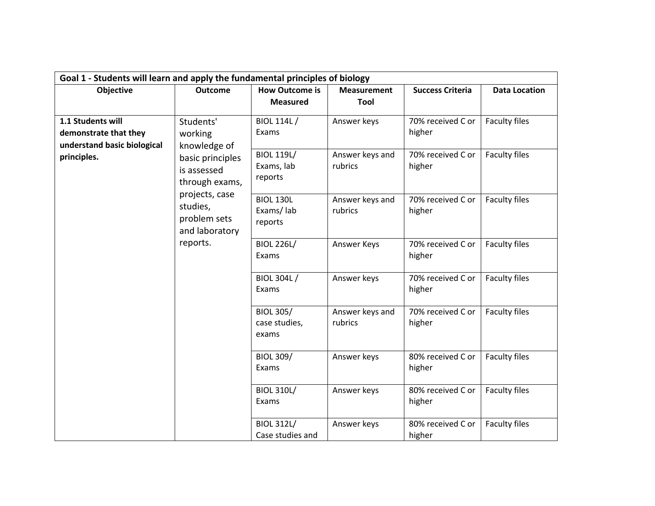|                                                                           | Goal 1 - Students will learn and apply the fundamental principles of biology |                                                 |                                |                                                  |                                       |  |  |
|---------------------------------------------------------------------------|------------------------------------------------------------------------------|-------------------------------------------------|--------------------------------|--------------------------------------------------|---------------------------------------|--|--|
| <b>Objective</b>                                                          | <b>Outcome</b>                                                               | <b>How Outcome is</b>                           | <b>Measurement</b>             | <b>Success Criteria</b>                          | <b>Data Location</b>                  |  |  |
|                                                                           |                                                                              | <b>Measured</b>                                 | Tool                           |                                                  |                                       |  |  |
| 1.1 Students will<br>demonstrate that they<br>understand basic biological | Students'<br>working<br>knowledge of                                         | <b>BIOL 114L/</b><br>Exams<br><b>BIOL 119L/</b> | Answer keys<br>Answer keys and | 70% received C or<br>higher<br>70% received C or | <b>Faculty files</b><br>Faculty files |  |  |
| principles.                                                               | basic principles<br>is assessed<br>through exams,<br>projects, case          | Exams, lab<br>reports                           | rubrics                        | higher                                           |                                       |  |  |
|                                                                           | studies,<br>problem sets<br>and laboratory                                   | <b>BIOL 130L</b><br>Exams/lab<br>reports        | Answer keys and<br>rubrics     | 70% received C or<br>higher                      | <b>Faculty files</b>                  |  |  |
|                                                                           | reports.                                                                     | <b>BIOL 226L/</b><br>Exams                      | Answer Keys                    | 70% received C or<br>higher                      | Faculty files                         |  |  |
|                                                                           |                                                                              | <b>BIOL 304L/</b><br>Exams                      | Answer keys                    | 70% received C or<br>higher                      | Faculty files                         |  |  |
|                                                                           | <b>BIOL 305/</b><br>case studies,<br>exams                                   | Answer keys and<br>rubrics                      | 70% received C or<br>higher    | <b>Faculty files</b>                             |                                       |  |  |
|                                                                           | <b>BIOL 309/</b><br>Exams                                                    | Answer keys                                     | 80% received C or<br>higher    | <b>Faculty files</b>                             |                                       |  |  |
|                                                                           |                                                                              | <b>BIOL 310L/</b><br>Exams                      | Answer keys                    | 80% received C or<br>higher                      | Faculty files                         |  |  |
|                                                                           |                                                                              | <b>BIOL 312L/</b><br>Case studies and           | Answer keys                    | 80% received C or<br>higher                      | Faculty files                         |  |  |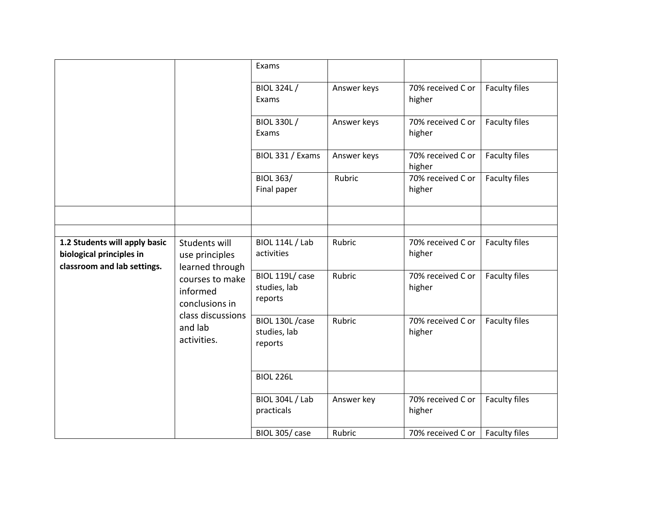|                                                                                          |                                                                                                                                                    | Exams                                       |             |                             |                      |
|------------------------------------------------------------------------------------------|----------------------------------------------------------------------------------------------------------------------------------------------------|---------------------------------------------|-------------|-----------------------------|----------------------|
|                                                                                          |                                                                                                                                                    | <b>BIOL 324L/</b><br>Exams                  | Answer keys | 70% received C or<br>higher | Faculty files        |
|                                                                                          |                                                                                                                                                    | <b>BIOL 330L/</b><br>Exams                  | Answer keys | 70% received C or<br>higher | Faculty files        |
|                                                                                          |                                                                                                                                                    | BIOL 331 / Exams                            | Answer keys | 70% received C or<br>higher | Faculty files        |
|                                                                                          |                                                                                                                                                    | <b>BIOL 363/</b><br>Final paper             | Rubric      | 70% received C or<br>higher | Faculty files        |
|                                                                                          |                                                                                                                                                    |                                             |             |                             |                      |
|                                                                                          |                                                                                                                                                    |                                             |             |                             |                      |
| 1.2 Students will apply basic<br>biological principles in<br>classroom and lab settings. | Students will<br>use principles<br>learned through<br>courses to make<br>informed<br>conclusions in<br>class discussions<br>and lab<br>activities. | <b>BIOL 114L / Lab</b><br>activities        | Rubric      | 70% received C or<br>higher | <b>Faculty files</b> |
|                                                                                          |                                                                                                                                                    | BIOL 119L/ case<br>studies, lab<br>reports  | Rubric      | 70% received C or<br>higher | <b>Faculty files</b> |
|                                                                                          |                                                                                                                                                    | BIOL 130L / case<br>studies, lab<br>reports | Rubric      | 70% received C or<br>higher | Faculty files        |
|                                                                                          |                                                                                                                                                    | <b>BIOL 226L</b>                            |             |                             |                      |
|                                                                                          |                                                                                                                                                    | <b>BIOL 304L / Lab</b><br>practicals        | Answer key  | 70% received C or<br>higher | Faculty files        |
|                                                                                          |                                                                                                                                                    | BIOL 305/case                               | Rubric      | 70% received C or           | <b>Faculty files</b> |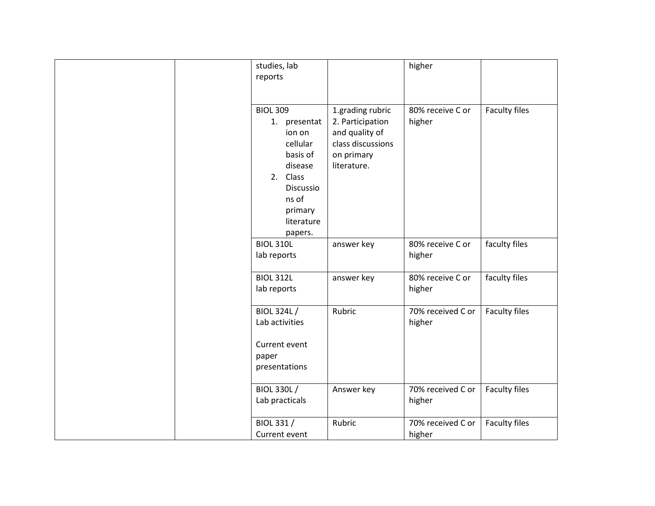| studies, lab<br>reports                                                                                                                            |                                                                                                          | higher                      |                      |
|----------------------------------------------------------------------------------------------------------------------------------------------------|----------------------------------------------------------------------------------------------------------|-----------------------------|----------------------|
| <b>BIOL 309</b><br>1. presentat<br>ion on<br>cellular<br>basis of<br>disease<br>2. Class<br>Discussio<br>ns of<br>primary<br>literature<br>papers. | 1.grading rubric<br>2. Participation<br>and quality of<br>class discussions<br>on primary<br>literature. | 80% receive C or<br>higher  | <b>Faculty files</b> |
| <b>BIOL 310L</b><br>lab reports                                                                                                                    | answer key                                                                                               | 80% receive C or<br>higher  | faculty files        |
| <b>BIOL 312L</b><br>lab reports                                                                                                                    | answer key                                                                                               | 80% receive C or<br>higher  | faculty files        |
| <b>BIOL 324L/</b><br>Lab activities<br>Current event<br>paper<br>presentations                                                                     | Rubric                                                                                                   | 70% received C or<br>higher | Faculty files        |
| <b>BIOL 330L/</b><br>Lab practicals                                                                                                                | Answer key                                                                                               | 70% received C or<br>higher | Faculty files        |
| BIOL 331 /<br>Current event                                                                                                                        | Rubric                                                                                                   | 70% received C or<br>higher | <b>Faculty files</b> |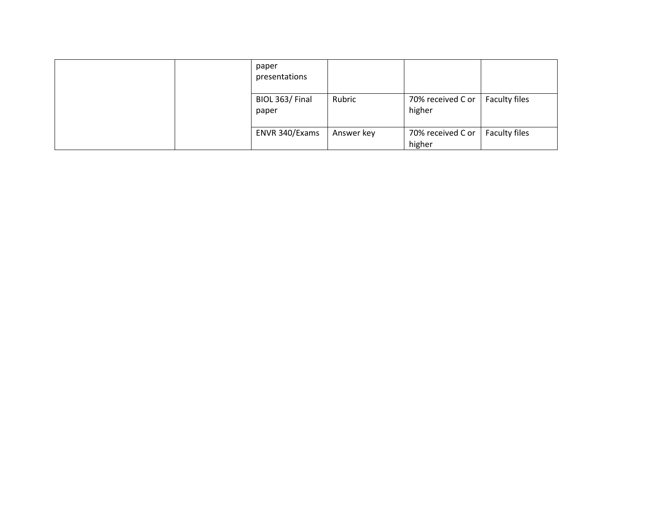| paper<br>presentations  |            |                             |               |
|-------------------------|------------|-----------------------------|---------------|
| BIOL 363/Final<br>paper | Rubric     | 70% received C or<br>higher | Faculty files |
| ENVR 340/Exams          | Answer key | 70% received C or<br>higher | Faculty files |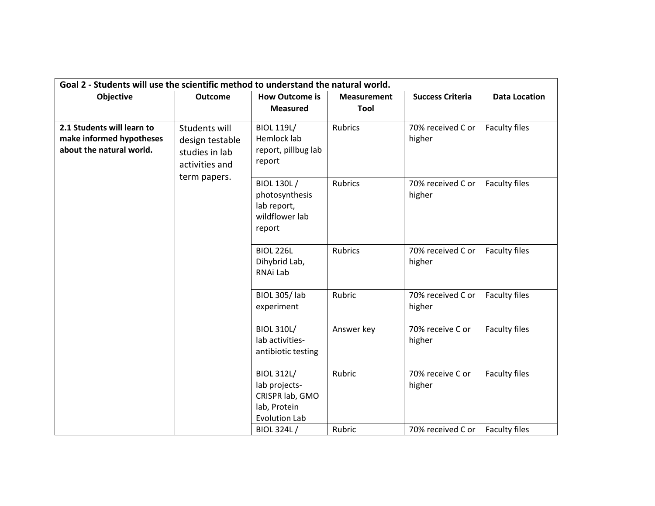|                                                                                    | Goal 2 - Students will use the scientific method to understand the natural world. |                                                                                                                    |                    |                                                 |                                       |  |  |
|------------------------------------------------------------------------------------|-----------------------------------------------------------------------------------|--------------------------------------------------------------------------------------------------------------------|--------------------|-------------------------------------------------|---------------------------------------|--|--|
| Objective                                                                          | <b>Outcome</b>                                                                    | <b>How Outcome is</b>                                                                                              | <b>Measurement</b> | <b>Success Criteria</b>                         | <b>Data Location</b>                  |  |  |
|                                                                                    |                                                                                   | <b>Measured</b>                                                                                                    | Tool               |                                                 |                                       |  |  |
| 2.1 Students will learn to<br>make informed hypotheses<br>about the natural world. | Students will<br>design testable<br>studies in lab<br>activities and              | <b>BIOL 119L/</b><br>Hemlock lab<br>report, pillbug lab<br>report                                                  | <b>Rubrics</b>     | 70% received C or<br>higher                     | <b>Faculty files</b>                  |  |  |
| term papers.                                                                       |                                                                                   | <b>BIOL 130L/</b><br>photosynthesis<br>lab report,<br>wildflower lab<br>report                                     | <b>Rubrics</b>     | 70% received C or<br>higher                     | Faculty files                         |  |  |
|                                                                                    |                                                                                   | <b>BIOL 226L</b><br>Dihybrid Lab,<br>RNAi Lab                                                                      | <b>Rubrics</b>     | 70% received C or<br>higher                     | <b>Faculty files</b>                  |  |  |
|                                                                                    |                                                                                   | <b>BIOL 305/Iab</b><br>experiment                                                                                  | Rubric             | 70% received C or<br>higher                     | Faculty files                         |  |  |
|                                                                                    |                                                                                   | <b>BIOL 310L/</b><br>lab activities-<br>antibiotic testing                                                         | Answer key         | 70% receive C or<br>higher                      | Faculty files                         |  |  |
|                                                                                    |                                                                                   | <b>BIOL 312L/</b><br>lab projects-<br>CRISPR lab, GMO<br>lab, Protein<br><b>Evolution Lab</b><br><b>BIOL 324L/</b> | Rubric<br>Rubric   | 70% receive C or<br>higher<br>70% received C or | Faculty files<br><b>Faculty files</b> |  |  |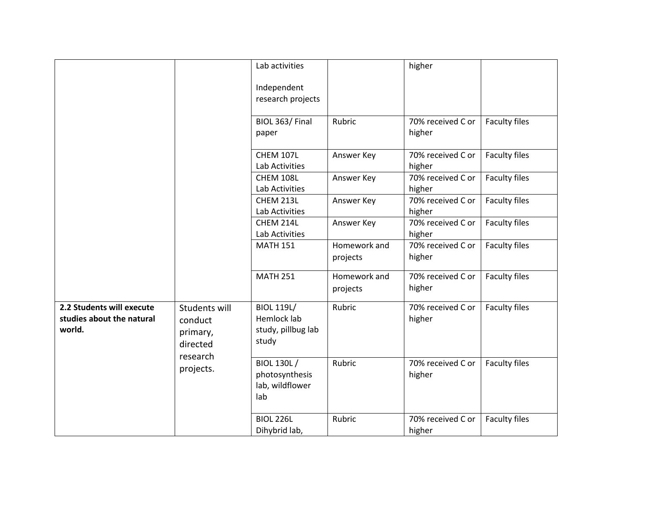|                                                                  |                                                                           | Lab activities                                                  |                          | higher                      |                      |
|------------------------------------------------------------------|---------------------------------------------------------------------------|-----------------------------------------------------------------|--------------------------|-----------------------------|----------------------|
|                                                                  |                                                                           | Independent                                                     |                          |                             |                      |
|                                                                  |                                                                           | research projects                                               |                          |                             |                      |
|                                                                  |                                                                           | BIOL 363/Final<br>paper                                         | Rubric                   | 70% received C or<br>higher | <b>Faculty files</b> |
|                                                                  |                                                                           | CHEM 107L<br>Lab Activities                                     | Answer Key               | 70% received C or<br>higher | <b>Faculty files</b> |
|                                                                  |                                                                           | CHEM 108L<br>Lab Activities                                     | Answer Key               | 70% received C or<br>higher | Faculty files        |
|                                                                  |                                                                           | CHEM 213L<br>Lab Activities                                     | Answer Key               | 70% received C or<br>higher | <b>Faculty files</b> |
|                                                                  |                                                                           | CHEM 214L<br>Lab Activities                                     | Answer Key               | 70% received C or<br>higher | Faculty files        |
|                                                                  |                                                                           | <b>MATH 151</b>                                                 | Homework and<br>projects | 70% received C or<br>higher | <b>Faculty files</b> |
|                                                                  |                                                                           | <b>MATH 251</b>                                                 | Homework and<br>projects | 70% received C or<br>higher | <b>Faculty files</b> |
| 2.2 Students will execute<br>studies about the natural<br>world. | Students will<br>conduct<br>primary,<br>directed<br>research<br>projects. | <b>BIOL 119L/</b><br>Hemlock lab<br>study, pillbug lab<br>study | Rubric                   | 70% received C or<br>higher | <b>Faculty files</b> |
|                                                                  |                                                                           | <b>BIOL 130L/</b><br>photosynthesis<br>lab, wildflower<br>lab   | Rubric                   | 70% received C or<br>higher | <b>Faculty files</b> |
|                                                                  |                                                                           | <b>BIOL 226L</b><br>Dihybrid lab,                               | Rubric                   | 70% received C or<br>higher | Faculty files        |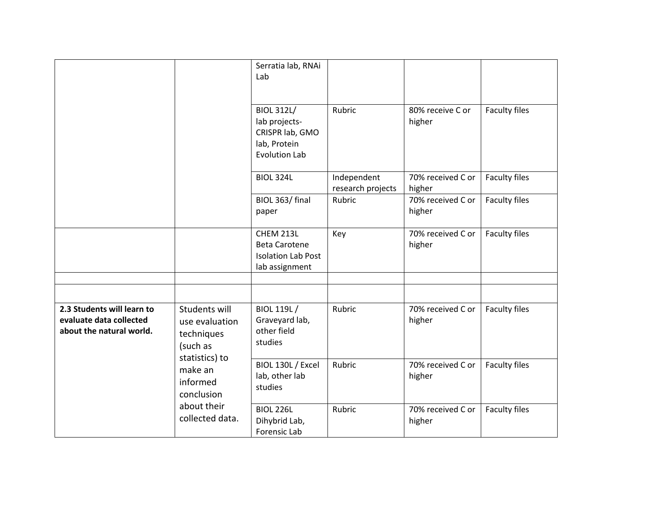|                                                                                   |                                                                                    | Serratia lab, RNAi<br>Lab<br><b>BIOL 312L/</b><br>lab projects-<br>CRISPR lab, GMO<br>lab, Protein<br><b>Evolution Lab</b> | Rubric                           | 80% receive C or<br>higher  | <b>Faculty files</b> |
|-----------------------------------------------------------------------------------|------------------------------------------------------------------------------------|----------------------------------------------------------------------------------------------------------------------------|----------------------------------|-----------------------------|----------------------|
|                                                                                   |                                                                                    | <b>BIOL 324L</b>                                                                                                           | Independent<br>research projects | 70% received C or<br>higher | Faculty files        |
|                                                                                   |                                                                                    | BIOL 363/ final<br>paper                                                                                                   | Rubric                           | 70% received C or<br>higher | Faculty files        |
|                                                                                   |                                                                                    | CHEM 213L<br><b>Beta Carotene</b><br><b>Isolation Lab Post</b><br>lab assignment                                           | Key                              | 70% received C or<br>higher | <b>Faculty files</b> |
|                                                                                   |                                                                                    |                                                                                                                            |                                  |                             |                      |
|                                                                                   |                                                                                    |                                                                                                                            |                                  |                             |                      |
| 2.3 Students will learn to<br>evaluate data collected<br>about the natural world. | <b>Students will</b><br>use evaluation<br>techniques<br>(such as<br>statistics) to | BIOL 119L /<br>Graveyard lab,<br>other field<br>studies                                                                    | Rubric                           | 70% received C or<br>higher | <b>Faculty files</b> |
| make an<br>informed<br>conclusion                                                 | BIOL 130L / Excel<br>lab, other lab<br>studies                                     | Rubric                                                                                                                     | 70% received C or<br>higher      | <b>Faculty files</b>        |                      |
|                                                                                   | about their<br>collected data.                                                     | <b>BIOL 226L</b><br>Dihybrid Lab,<br>Forensic Lab                                                                          | Rubric                           | 70% received C or<br>higher | <b>Faculty files</b> |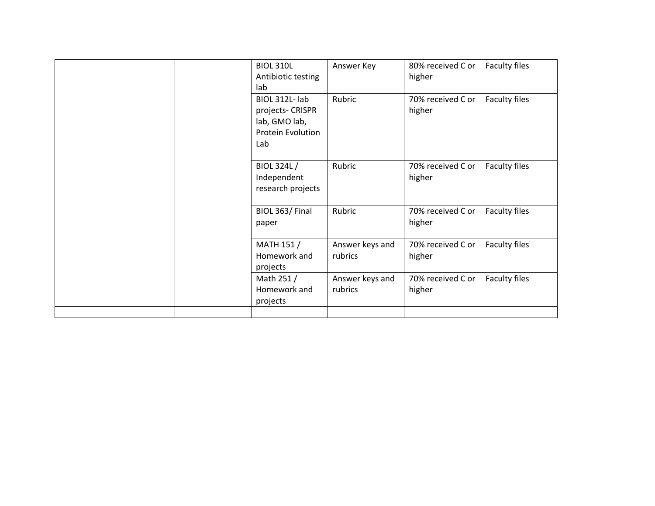|  | <b>BIOL 310L</b>   | Answer Key      | 80% received C or | <b>Faculty files</b> |
|--|--------------------|-----------------|-------------------|----------------------|
|  | Antibiotic testing |                 | higher            |                      |
|  | lab                |                 |                   |                      |
|  | BIOL 312L- lab     | Rubric          | 70% received C or | Faculty files        |
|  | projects- CRISPR   |                 | higher            |                      |
|  | lab, GMO lab,      |                 |                   |                      |
|  | Protein Evolution  |                 |                   |                      |
|  | Lab                |                 |                   |                      |
|  |                    |                 |                   |                      |
|  | <b>BIOL 324L/</b>  | Rubric          | 70% received C or | Faculty files        |
|  | Independent        |                 | higher            |                      |
|  | research projects  |                 |                   |                      |
|  |                    |                 |                   |                      |
|  | BIOL 363/Final     | Rubric          | 70% received C or | Faculty files        |
|  | paper              |                 | higher            |                      |
|  |                    |                 |                   |                      |
|  | MATH 151 /         | Answer keys and | 70% received C or | <b>Faculty files</b> |
|  | Homework and       | rubrics         | higher            |                      |
|  | projects           |                 |                   |                      |
|  | Math 251 /         | Answer keys and | 70% received C or | <b>Faculty files</b> |
|  | Homework and       | rubrics         | higher            |                      |
|  | projects           |                 |                   |                      |
|  |                    |                 |                   |                      |
|  |                    |                 |                   |                      |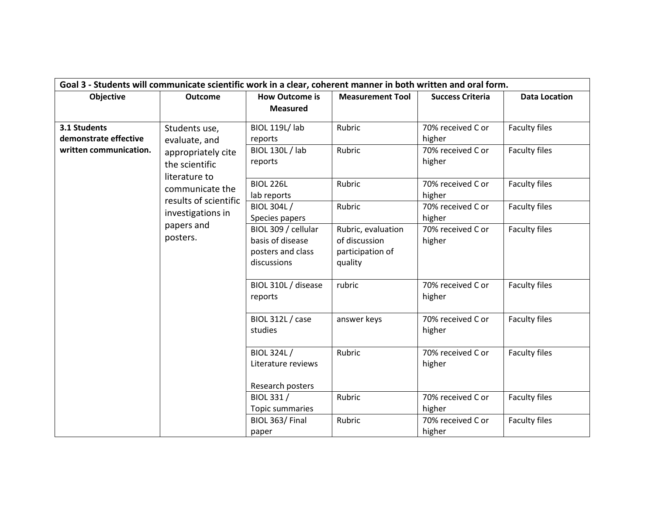|                                       | Goal 3 - Students will communicate scientific work in a clear, coherent manner in both written and oral form. |                                                                             |                                                                    |                             |                      |  |  |  |
|---------------------------------------|---------------------------------------------------------------------------------------------------------------|-----------------------------------------------------------------------------|--------------------------------------------------------------------|-----------------------------|----------------------|--|--|--|
| Objective                             | <b>Outcome</b>                                                                                                | <b>How Outcome is</b>                                                       | <b>Measurement Tool</b>                                            | <b>Success Criteria</b>     | <b>Data Location</b> |  |  |  |
|                                       |                                                                                                               | <b>Measured</b>                                                             |                                                                    |                             |                      |  |  |  |
| 3.1 Students<br>demonstrate effective | Students use,<br>evaluate, and                                                                                | BIOL 119L/ lab<br>reports                                                   | Rubric                                                             | 70% received C or<br>higher | <b>Faculty files</b> |  |  |  |
| written communication.                | appropriately cite<br>the scientific                                                                          | <b>BIOL 130L / lab</b><br>reports                                           | Rubric                                                             | 70% received C or<br>higher | Faculty files        |  |  |  |
|                                       | literature to<br>communicate the<br>results of scientific                                                     | <b>BIOL 226L</b><br>lab reports                                             | Rubric                                                             | 70% received C or<br>higher | Faculty files        |  |  |  |
|                                       | investigations in                                                                                             | BIOL 304L /<br>Species papers                                               | Rubric                                                             | 70% received C or<br>higher | <b>Faculty files</b> |  |  |  |
|                                       | papers and<br>posters.                                                                                        | BIOL 309 / cellular<br>basis of disease<br>posters and class<br>discussions | Rubric, evaluation<br>of discussion<br>participation of<br>quality | 70% received C or<br>higher | <b>Faculty files</b> |  |  |  |
|                                       |                                                                                                               | BIOL 310L / disease<br>reports                                              | rubric                                                             | 70% received C or<br>higher | <b>Faculty files</b> |  |  |  |
|                                       |                                                                                                               | <b>BIOL 312L / case</b><br>studies                                          | answer keys                                                        | 70% received C or<br>higher | <b>Faculty files</b> |  |  |  |
|                                       | BIOL 324L /<br>Literature reviews                                                                             | Rubric                                                                      | 70% received C or<br>higher                                        | <b>Faculty files</b>        |                      |  |  |  |
|                                       |                                                                                                               | Research posters<br>BIOL 331 /                                              | Rubric                                                             | 70% received C or<br>higher | <b>Faculty files</b> |  |  |  |
|                                       |                                                                                                               | Topic summaries<br>BIOL 363/Final<br>paper                                  | Rubric                                                             | 70% received C or<br>higher | Faculty files        |  |  |  |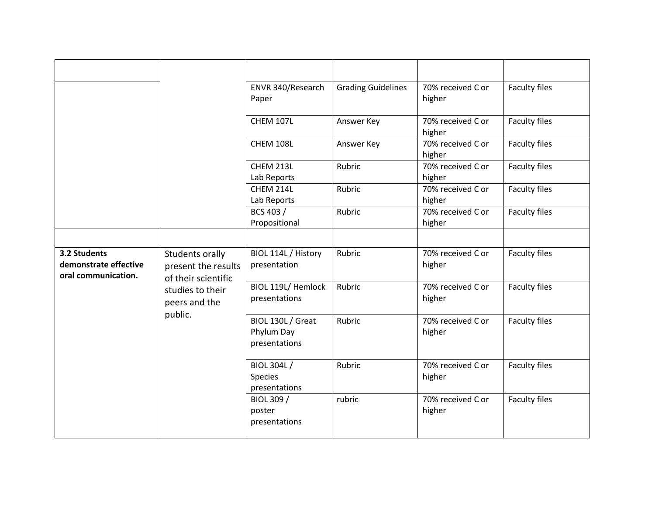|                                                              |                                                                                                               | ENVR 340/Research<br>Paper                           | <b>Grading Guidelines</b> | 70% received C or<br>higher | Faculty files        |
|--------------------------------------------------------------|---------------------------------------------------------------------------------------------------------------|------------------------------------------------------|---------------------------|-----------------------------|----------------------|
|                                                              |                                                                                                               | <b>CHEM 107L</b>                                     | Answer Key                | 70% received C or<br>higher | Faculty files        |
|                                                              |                                                                                                               | CHEM 108L                                            | Answer Key                | 70% received C or<br>higher | <b>Faculty files</b> |
|                                                              |                                                                                                               | CHEM 213L<br>Lab Reports                             | Rubric                    | 70% received C or<br>higher | <b>Faculty files</b> |
|                                                              |                                                                                                               | CHEM 214L<br>Lab Reports                             | Rubric                    | 70% received C or<br>higher | Faculty files        |
|                                                              |                                                                                                               | BCS 403 /<br>Propositional                           | Rubric                    | 70% received C or<br>higher | Faculty files        |
|                                                              |                                                                                                               |                                                      |                           |                             |                      |
| 3.2 Students<br>demonstrate effective<br>oral communication. | Students orally<br>present the results<br>of their scientific<br>studies to their<br>peers and the<br>public. | BIOL 114L / History<br>presentation                  | Rubric                    | 70% received C or<br>higher | Faculty files        |
|                                                              |                                                                                                               | BIOL 119L/ Hemlock<br>presentations                  | Rubric                    | 70% received C or<br>higher | <b>Faculty files</b> |
|                                                              |                                                                                                               | BIOL 130L / Great<br>Phylum Day<br>presentations     | Rubric                    | 70% received C or<br>higher | <b>Faculty files</b> |
|                                                              |                                                                                                               | <b>BIOL 304L/</b><br><b>Species</b><br>presentations | Rubric                    | 70% received C or<br>higher | Faculty files        |
|                                                              |                                                                                                               | BIOL 309 /<br>poster<br>presentations                | rubric                    | 70% received C or<br>higher | Faculty files        |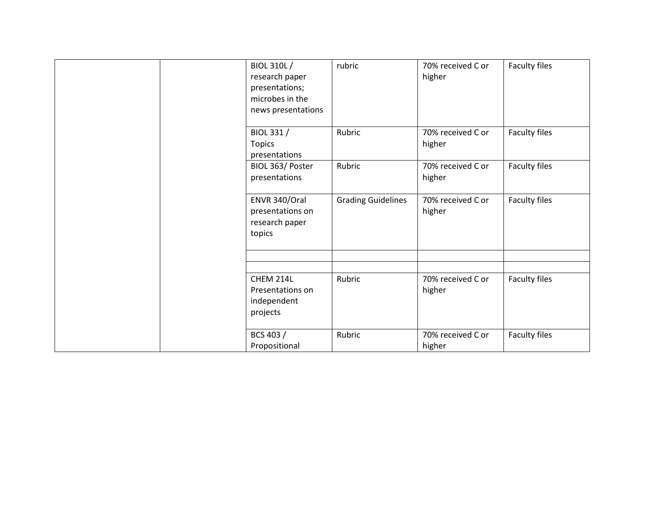| BIOL 310L/<br>research paper<br>presentations;<br>microbes in the<br>news presentations | rubric                    | 70% received C or<br>higher | Faculty files |
|-----------------------------------------------------------------------------------------|---------------------------|-----------------------------|---------------|
| BIOL 331 /<br><b>Topics</b><br>presentations                                            | Rubric                    | 70% received C or<br>higher | Faculty files |
| BIOL 363/ Poster<br>presentations                                                       | Rubric                    | 70% received C or<br>higher | Faculty files |
| ENVR 340/Oral<br>presentations on<br>research paper<br>topics                           | <b>Grading Guidelines</b> | 70% received C or<br>higher | Faculty files |
|                                                                                         |                           |                             |               |
| CHEM 214L<br>Presentations on<br>independent<br>projects                                | Rubric                    | 70% received C or<br>higher | Faculty files |
| BCS 403 /<br>Propositional                                                              | Rubric                    | 70% received C or<br>higher | Faculty files |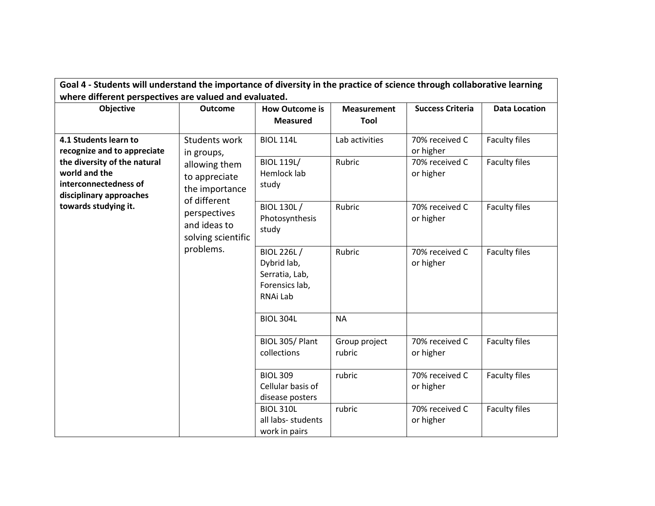| Goal 4 - Students will understand the importance of diversity in the practice of science through collaborative learning                                                                                                                                                        |                                                 |                                                                                  |                                   |                                                            |                                       |  |
|--------------------------------------------------------------------------------------------------------------------------------------------------------------------------------------------------------------------------------------------------------------------------------|-------------------------------------------------|----------------------------------------------------------------------------------|-----------------------------------|------------------------------------------------------------|---------------------------------------|--|
| where different perspectives are valued and evaluated.<br>Objective                                                                                                                                                                                                            | <b>Outcome</b>                                  | <b>How Outcome is</b><br><b>Measured</b>                                         | <b>Measurement</b><br><b>Tool</b> | <b>Success Criteria</b>                                    | <b>Data Location</b>                  |  |
| 4.1 Students learn to<br>recognize and to appreciate<br>in groups,<br>the diversity of the natural<br>world and the<br>interconnectedness of<br>the importance<br>disciplinary approaches<br>of different<br>towards studying it.<br>perspectives<br>and ideas to<br>problems. | Students work<br>allowing them<br>to appreciate | <b>BIOL 114L</b><br><b>BIOL 119L/</b><br>Hemlock lab<br>study                    | Lab activities<br>Rubric          | 70% received C<br>or higher<br>70% received C<br>or higher | Faculty files<br><b>Faculty files</b> |  |
|                                                                                                                                                                                                                                                                                | solving scientific                              | <b>BIOL 130L/</b><br>Photosynthesis<br>study                                     | Rubric                            | 70% received C<br>or higher                                | Faculty files                         |  |
|                                                                                                                                                                                                                                                                                |                                                 | <b>BIOL 226L/</b><br>Dybrid lab,<br>Serratia, Lab,<br>Forensics lab,<br>RNAi Lab | Rubric                            | 70% received C<br>or higher                                | <b>Faculty files</b>                  |  |
|                                                                                                                                                                                                                                                                                |                                                 | <b>BIOL 304L</b>                                                                 | <b>NA</b>                         |                                                            |                                       |  |
|                                                                                                                                                                                                                                                                                |                                                 | BIOL 305/Plant<br>collections                                                    | Group project<br>rubric           | 70% received C<br>or higher                                | Faculty files                         |  |
|                                                                                                                                                                                                                                                                                |                                                 | <b>BIOL 309</b><br>Cellular basis of<br>disease posters                          | rubric                            | 70% received C<br>or higher                                | <b>Faculty files</b>                  |  |
|                                                                                                                                                                                                                                                                                |                                                 | <b>BIOL 310L</b><br>all labs- students<br>work in pairs                          | rubric                            | 70% received C<br>or higher                                | <b>Faculty files</b>                  |  |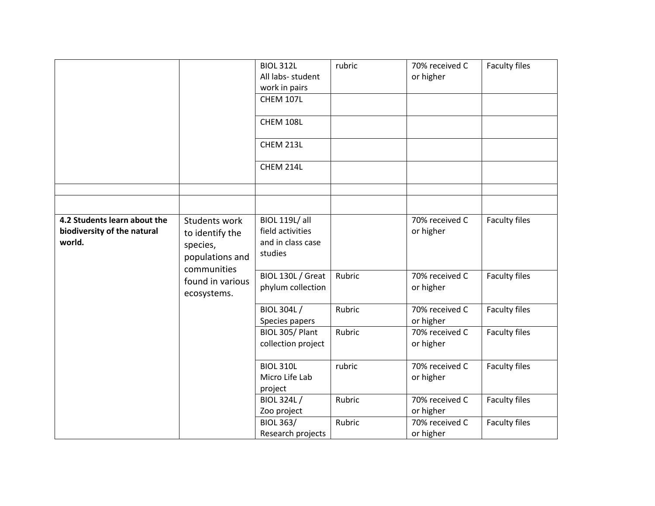|                                                                       |                                                                 | <b>BIOL 312L</b><br>All labs- student<br>work in pairs<br>CHEM 107L<br>CHEM 108L<br>CHEM 213L<br>CHEM 214L | rubric | 70% received C<br>or higher | Faculty files                                                                                                                                   |
|-----------------------------------------------------------------------|-----------------------------------------------------------------|------------------------------------------------------------------------------------------------------------|--------|-----------------------------|-------------------------------------------------------------------------------------------------------------------------------------------------|
|                                                                       |                                                                 |                                                                                                            |        |                             |                                                                                                                                                 |
|                                                                       |                                                                 |                                                                                                            |        |                             |                                                                                                                                                 |
| 4.2 Students learn about the<br>biodiversity of the natural<br>world. | Students work<br>to identify the<br>species,<br>populations and | <b>BIOL 119L/ all</b><br>field activities<br>and in class case<br>studies                                  |        | 70% received C<br>or higher | Faculty files<br><b>Faculty files</b><br><b>Faculty files</b><br>Faculty files<br>Faculty files<br><b>Faculty files</b><br><b>Faculty files</b> |
|                                                                       | communities<br>found in various<br>ecosystems.                  | BIOL 130L / Great<br>phylum collection                                                                     | Rubric | 70% received C<br>or higher |                                                                                                                                                 |
|                                                                       |                                                                 | <b>BIOL 304L/</b><br>Species papers                                                                        | Rubric | 70% received C<br>or higher |                                                                                                                                                 |
|                                                                       |                                                                 | BIOL 305/Plant<br>collection project                                                                       | Rubric | 70% received C<br>or higher |                                                                                                                                                 |
|                                                                       |                                                                 | <b>BIOL 310L</b><br>Micro Life Lab<br>project                                                              | rubric | 70% received C<br>or higher |                                                                                                                                                 |
|                                                                       |                                                                 | <b>BIOL 324L/</b><br>Zoo project                                                                           | Rubric | 70% received C<br>or higher |                                                                                                                                                 |
|                                                                       |                                                                 | <b>BIOL 363/</b><br>Research projects                                                                      | Rubric | 70% received C<br>or higher |                                                                                                                                                 |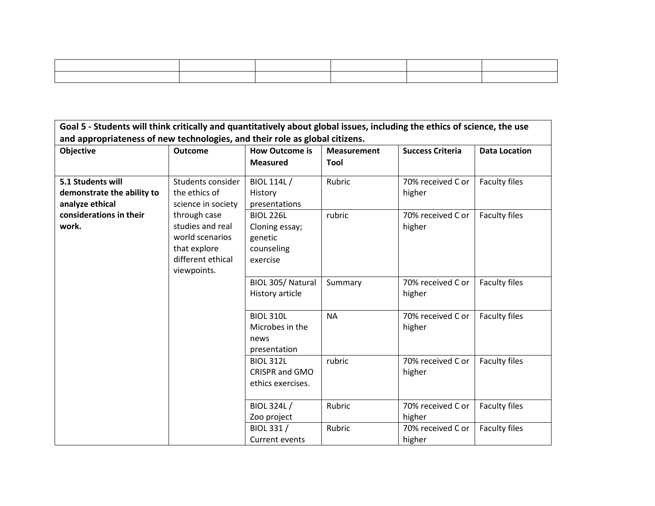$\overline{\phantom{0}}$ 

| Goal 5 - Students will think critically and quantitatively about global issues, including the ethics of science, the use |                                                                                                                                                      |                                                                         |                             |                             |                      |  |  |
|--------------------------------------------------------------------------------------------------------------------------|------------------------------------------------------------------------------------------------------------------------------------------------------|-------------------------------------------------------------------------|-----------------------------|-----------------------------|----------------------|--|--|
| and appropriateness of new technologies, and their role as global citizens.                                              |                                                                                                                                                      |                                                                         |                             |                             |                      |  |  |
| Objective                                                                                                                | <b>Outcome</b>                                                                                                                                       | <b>How Outcome is</b>                                                   | <b>Measurement</b>          | <b>Success Criteria</b>     | <b>Data Location</b> |  |  |
|                                                                                                                          |                                                                                                                                                      | <b>Measured</b>                                                         | Tool                        |                             |                      |  |  |
| 5.1 Students will<br>demonstrate the ability to<br>analyze ethical                                                       | Students consider<br>the ethics of<br>science in society<br>through case<br>studies and real<br>world scenarios<br>that explore<br>different ethical | <b>BIOL 114L/</b><br>History<br>presentations                           | Rubric                      | 70% received C or<br>higher | <b>Faculty files</b> |  |  |
| considerations in their<br>work.<br>viewpoints.                                                                          |                                                                                                                                                      | <b>BIOL 226L</b><br>Cloning essay;<br>genetic<br>counseling<br>exercise | rubric                      | 70% received C or<br>higher | Faculty files        |  |  |
|                                                                                                                          | BIOL 305/Natural<br>History article                                                                                                                  | Summary                                                                 | 70% received C or<br>higher | <b>Faculty files</b>        |                      |  |  |
|                                                                                                                          |                                                                                                                                                      | <b>BIOL 310L</b><br>Microbes in the<br>news<br>presentation             | <b>NA</b>                   | 70% received C or<br>higher | <b>Faculty files</b> |  |  |
|                                                                                                                          |                                                                                                                                                      | <b>BIOL 312L</b><br>CRISPR and GMO<br>ethics exercises.                 | rubric                      | 70% received C or<br>higher | Faculty files        |  |  |
|                                                                                                                          |                                                                                                                                                      | <b>BIOL 324L/</b><br>Zoo project                                        | Rubric                      | 70% received C or<br>higher | <b>Faculty files</b> |  |  |
|                                                                                                                          |                                                                                                                                                      | BIOL 331 /<br>Current events                                            | Rubric                      | 70% received C or<br>higher | <b>Faculty files</b> |  |  |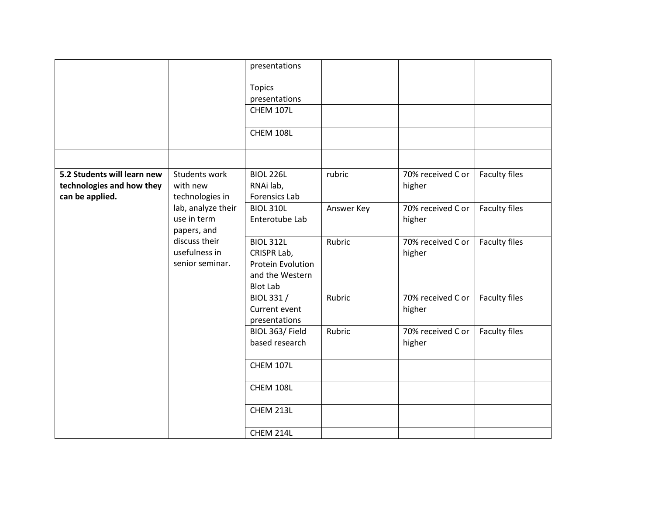|                             |                            | presentations              |            |                   |               |
|-----------------------------|----------------------------|----------------------------|------------|-------------------|---------------|
|                             |                            |                            |            |                   |               |
|                             |                            | <b>Topics</b>              |            |                   |               |
|                             |                            | presentations<br>CHEM 107L |            |                   |               |
|                             |                            |                            |            |                   |               |
|                             |                            | <b>CHEM 108L</b>           |            |                   |               |
|                             |                            |                            |            |                   |               |
| 5.2 Students will learn new | Students work              | <b>BIOL 226L</b>           | rubric     | 70% received C or | Faculty files |
| technologies and how they   | with new                   | RNAi lab,                  |            | higher            |               |
| can be applied.             | technologies in            | Forensics Lab              |            |                   |               |
|                             | lab, analyze their         | <b>BIOL 310L</b>           | Answer Key | 70% received C or | Faculty files |
|                             | use in term<br>papers, and | Enterotube Lab             |            | higher            |               |
|                             | discuss their              | <b>BIOL 312L</b>           | Rubric     | 70% received C or | Faculty files |
|                             | usefulness in              | CRISPR Lab,                |            | higher            |               |
|                             | senior seminar.            | Protein Evolution          |            |                   |               |
|                             |                            | and the Western            |            |                   |               |
|                             |                            | <b>Blot Lab</b>            |            |                   |               |
|                             |                            | BIOL 331 /                 | Rubric     | 70% received C or | Faculty files |
|                             |                            | Current event              |            | higher            |               |
|                             |                            | presentations              |            |                   |               |
|                             |                            | BIOL 363/Field             | Rubric     | 70% received C or | Faculty files |
|                             |                            | based research             |            | higher            |               |
|                             |                            | <b>CHEM 107L</b>           |            |                   |               |
|                             |                            | CHEM 108L                  |            |                   |               |
|                             |                            |                            |            |                   |               |
|                             |                            | CHEM 213L                  |            |                   |               |
|                             |                            | CHEM 214L                  |            |                   |               |